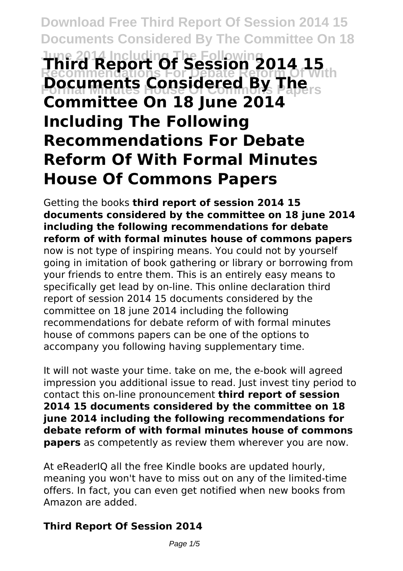# **Download Free Third Report Of Session 2014 15 Documents Considered By The Committee On 18 June 2014 Including The Following Third Report Of Session 2014 15 Recommendations For Debate Reform Of With Pocuments Considered By The Committee On 18 June 2014 Including The Following Recommendations For Debate Reform Of With Formal Minutes House Of Commons Papers**

Getting the books **third report of session 2014 15 documents considered by the committee on 18 june 2014 including the following recommendations for debate reform of with formal minutes house of commons papers** now is not type of inspiring means. You could not by yourself going in imitation of book gathering or library or borrowing from your friends to entre them. This is an entirely easy means to specifically get lead by on-line. This online declaration third report of session 2014 15 documents considered by the committee on 18 june 2014 including the following recommendations for debate reform of with formal minutes house of commons papers can be one of the options to accompany you following having supplementary time.

It will not waste your time. take on me, the e-book will agreed impression you additional issue to read. Just invest tiny period to contact this on-line pronouncement **third report of session 2014 15 documents considered by the committee on 18 june 2014 including the following recommendations for debate reform of with formal minutes house of commons papers** as competently as review them wherever you are now.

At eReaderIQ all the free Kindle books are updated hourly, meaning you won't have to miss out on any of the limited-time offers. In fact, you can even get notified when new books from Amazon are added.

## **Third Report Of Session 2014**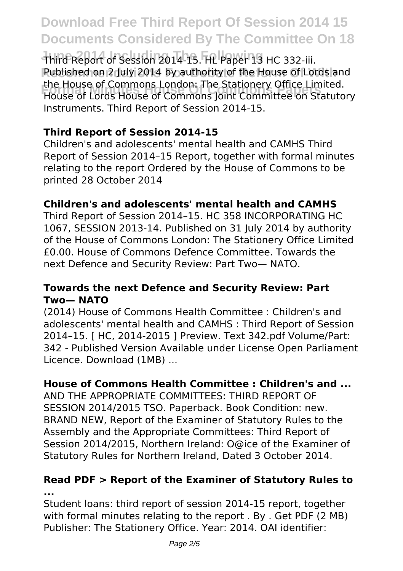## **Download Free Third Report Of Session 2014 15 Documents Considered By The Committee On 18**

Third Report of Session 2014-15. HL Paper 13 HC 332-iii. **Rublished on 2 July 2014 by authority of the House of Lords and Formal Minutes House Of Commons Papers** House of Lords House of Commons Joint Committee on Statutory the House of Commons London: The Stationery Office Limited. Instruments. Third Report of Session 2014-15.

## **Third Report of Session 2014-15**

Children's and adolescents' mental health and CAMHS Third Report of Session 2014–15 Report, together with formal minutes relating to the report Ordered by the House of Commons to be printed 28 October 2014

#### **Children's and adolescents' mental health and CAMHS**

Third Report of Session 2014–15. HC 358 INCORPORATING HC 1067, SESSION 2013-14. Published on 31 July 2014 by authority of the House of Commons London: The Stationery Office Limited £0.00. House of Commons Defence Committee. Towards the next Defence and Security Review: Part Two— NATO.

#### **Towards the next Defence and Security Review: Part Two— NATO**

(2014) House of Commons Health Committee : Children's and adolescents' mental health and CAMHS : Third Report of Session 2014–15. [ HC, 2014-2015 ] Preview. Text 342.pdf Volume/Part: 342 - Published Version Available under License Open Parliament Licence. Download (1MB) ...

#### **House of Commons Health Committee : Children's and ...**

AND THE APPROPRIATE COMMITTEES: THIRD REPORT OF SESSION 2014/2015 TSO. Paperback. Book Condition: new. BRAND NEW, Report of the Examiner of Statutory Rules to the Assembly and the Appropriate Committees: Third Report of Session 2014/2015, Northern Ireland: O@ice of the Examiner of Statutory Rules for Northern Ireland, Dated 3 October 2014.

#### **Read PDF > Report of the Examiner of Statutory Rules to ...**

Student loans: third report of session 2014-15 report, together with formal minutes relating to the report . By . Get PDF (2 MB) Publisher: The Stationery Office. Year: 2014. OAI identifier: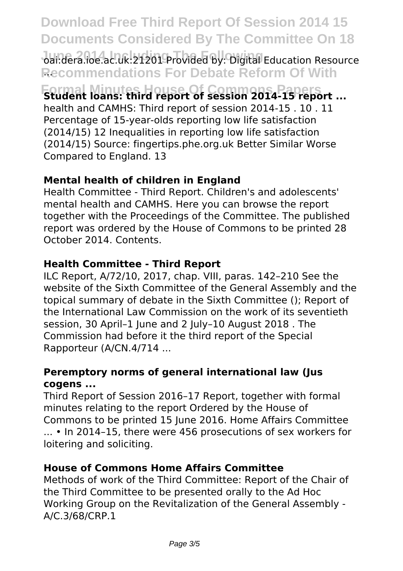## **Download Free Third Report Of Session 2014 15 Documents Considered By The Committee On 18**

oai:dera.ioe.ac.uk:21201 Provided by: Digital Education Resource **Recommendations For Debate Reform Of With** ...

**Formal Minutes House Of Commons Papers Student loans: third report of session 2014-15 report ...**

health and CAMHS: Third report of session 2014-15 . 10 . 11 Percentage of 15-year-olds reporting low life satisfaction (2014/15) 12 Inequalities in reporting low life satisfaction (2014/15) Source: fingertips.phe.org.uk Better Similar Worse Compared to England. 13

### **Mental health of children in England**

Health Committee - Third Report. Children's and adolescents' mental health and CAMHS. Here you can browse the report together with the Proceedings of the Committee. The published report was ordered by the House of Commons to be printed 28 October 2014. Contents.

#### **Health Committee - Third Report**

ILC Report, A/72/10, 2017, chap. VIII, paras. 142–210 See the website of the Sixth Committee of the General Assembly and the topical summary of debate in the Sixth Committee (); Report of the International Law Commission on the work of its seventieth session, 30 April–1 June and 2 July–10 August 2018 . The Commission had before it the third report of the Special Rapporteur (A/CN.4/714 ...

#### **Peremptory norms of general international law (Jus cogens ...**

Third Report of Session 2016–17 Report, together with formal minutes relating to the report Ordered by the House of Commons to be printed 15 June 2016. Home Affairs Committee ... • In 2014–15, there were 456 prosecutions of sex workers for loitering and soliciting.

#### **House of Commons Home Affairs Committee**

Methods of work of the Third Committee: Report of the Chair of the Third Committee to be presented orally to the Ad Hoc Working Group on the Revitalization of the General Assembly - A/C.3/68/CRP.1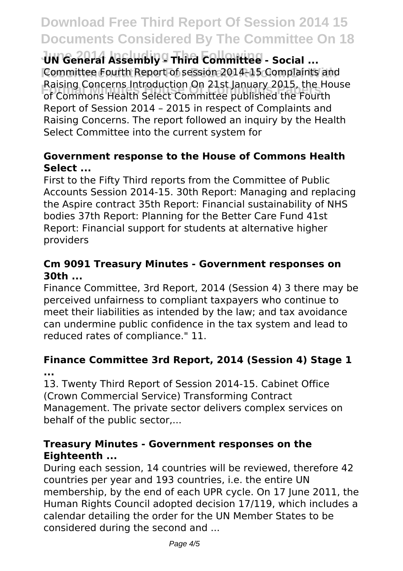## **Download Free Third Report Of Session 2014 15 Documents Considered By The Committee On 18**

**June 2014 Including The Following UN General Assembly - Third Committee - Social ...** Committee Fourth Report of session 2014-15 Complaints and **Formal Minutes House Of Commons Papers** of Commons Health Select Committee published the Fourth Raising Concerns Introduction On 21st January 2015, the House Report of Session 2014 – 2015 in respect of Complaints and Raising Concerns. The report followed an inquiry by the Health Select Committee into the current system for

### **Government response to the House of Commons Health Select ...**

First to the Fifty Third reports from the Committee of Public Accounts Session 2014-15. 30th Report: Managing and replacing the Aspire contract 35th Report: Financial sustainability of NHS bodies 37th Report: Planning for the Better Care Fund 41st Report: Financial support for students at alternative higher providers

## **Cm 9091 Treasury Minutes - Government responses on 30th ...**

Finance Committee, 3rd Report, 2014 (Session 4) 3 there may be perceived unfairness to compliant taxpayers who continue to meet their liabilities as intended by the law; and tax avoidance can undermine public confidence in the tax system and lead to reduced rates of compliance." 11.

### **Finance Committee 3rd Report, 2014 (Session 4) Stage 1 ...**

13. Twenty Third Report of Session 2014-15. Cabinet Office (Crown Commercial Service) Transforming Contract Management. The private sector delivers complex services on behalf of the public sector,...

### **Treasury Minutes - Government responses on the Eighteenth ...**

During each session, 14 countries will be reviewed, therefore 42 countries per year and 193 countries, i.e. the entire UN membership, by the end of each UPR cycle. On 17 June 2011, the Human Rights Council adopted decision 17/119, which includes a calendar detailing the order for the UN Member States to be considered during the second and ...